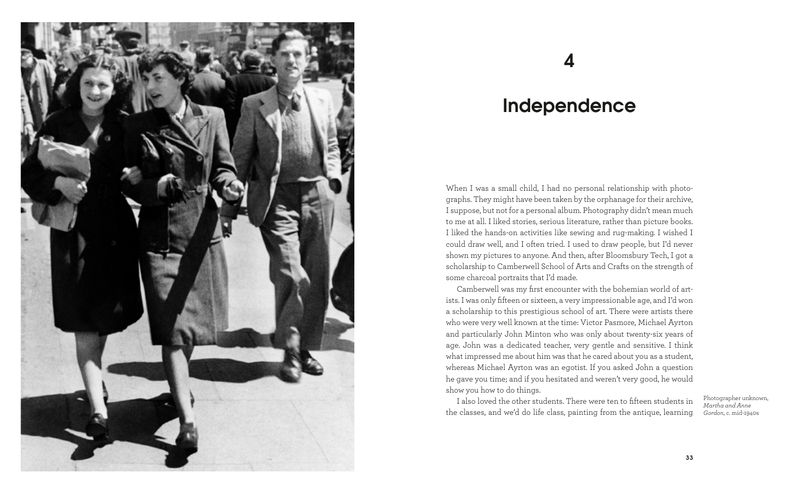

## 4

## Independence

When I was a small child, I had no personal relationship with photographs. They might have been taken by the orphanage for their archive, I suppose, but not for a personal album. Photography didn't mean much to me at all. I liked stories, serious literature, rather than picture books. I liked the hands-on activities like sewing and rug-making. I wished I could draw well, and I often tried. I used to draw people, but I'd never shown my pictures to anyone. And then, after Bloomsbury Tech, I got a scholarship to Camberwell School of Arts and Crafts on the strength of some charcoal portraits that I'd made.

Camberwell was my first encounter with the bohemian world of artists. I was only fifteen or sixteen, a very impressionable age, and I'd won a scholarship to this prestigious school of art. There were artists there who were very well known at the time: Victor Pasmore, Michael Ayrton and particularly John Minton who was only about twenty-six years of age. John was a dedicated teacher, very gentle and sensitive. I think what impressed me about him was that he cared about you as a student, whereas Michael Ayrton was an egotist. If you asked John a question he gave you time; and if you hesitated and weren't very good, he would show you how to do things.

I also loved the other students. There were ten to fifteen students in the classes, and we'd do life class, painting from the antique, learning

Photographer unknown, *Martha and Anne Gordon*, c. mid-1940s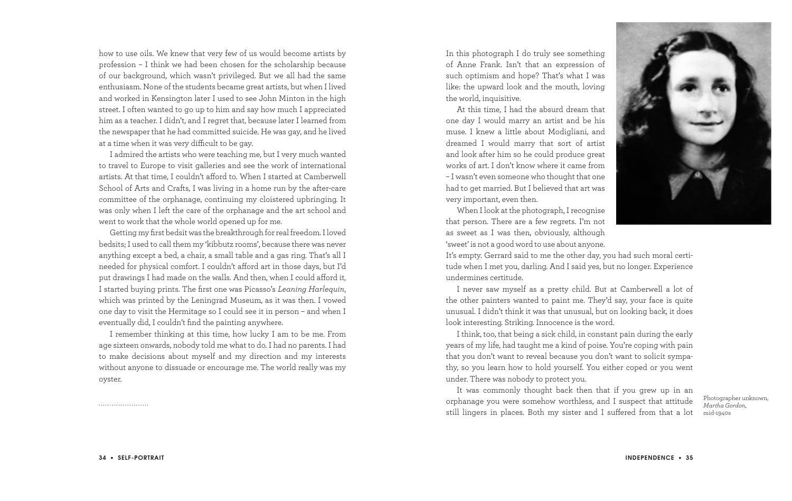how to use oils. We knew that very few of us would become artists by profession – I think we had been chosen for the scholarship because of our background, which wasn't privileged. But we all had the same enthusiasm. None of the students became great artists, but when I lived and worked in Kensington later I used to see John Minton in the high street. I often wanted to go up to him and say how much I appreciated him as a teacher. I didn't, and I regret that, because later I learned from the newspaper that he had committed suicide. He was gay, and he lived at a time when it was very difficult to be gay.

I admired the artists who were teaching me, but I very much wanted to travel to Europe to visit galleries and see the work of international artists. At that time, I couldn't afford to. When I started at Camberwell School of Arts and Crafts, I was living in a home run by the after-care committee of the orphanage, continuing my cloistered upbringing. It was only when I left the care of the orphanage and the art school and went to work that the whole world opened up for me.

Getting my first bedsit was the breakthrough for real freedom. I loved bedsits; I used to call them my 'kibbutz rooms', because there was never anything except a bed, a chair, a small table and a gas ring. That's all I needed for physical comfort. I couldn't afford art in those days, but I'd put drawings I had made on the walls. And then, when I could afford it, I started buying prints. The first one was Picasso's *Leaning Harlequin*, which was printed by the Leningrad Museum, as it was then. I vowed one day to visit the Hermitage so I could see it in person – and when I eventually did, I couldn't find the painting anywhere.

I remember thinking at this time, how lucky I am to be me. From age sixteen onwards, nobody told me what to do. I had no parents. I had to make decisions about myself and my direction and my interests without anyone to dissuade or encourage me. The world really was my oyster.

In this photograph I do truly see something of Anne Frank. Isn't that an expression of such optimism and hope? That's what I was like: the upward look and the mouth, loving the world, inquisitive.

At this time, I had the absurd dream that one day I would marry an artist and be his muse. I knew a little about Modigliani, and dreamed I would marry that sort of artist and look after him so he could produce great works of art. I don't know where it came from – I wasn't even someone who thought that one had to get married. But I believed that art was very important, even then.

When I look at the photograph, I recognise that person. There are a few regrets. I'm not as sweet as I was then, obviously, although 'sweet' is not a good word to use about anyone.

It's empty. Gerrard said to me the other day, you had such moral certitude when I met you, darling. And I said yes, but no longer. Experience undermines certitude.

I never saw myself as a pretty child. But at Camberwell a lot of the other painters wanted to paint me. They'd say, your face is quite unusual. I didn't think it was that unusual, but on looking back, it does look interesting. Striking. Innocence is the word.

I think, too, that being a sick child, in constant pain during the early years of my life, had taught me a kind of poise. You're coping with pain that you don't want to reveal because you don't want to solicit sympathy, so you learn how to hold yourself. You either coped or you went under. There was nobody to protect you.

It was commonly thought back then that if you grew up in an orphanage you were somehow worthless, and I suspect that attitude still lingers in places. Both my sister and I suffered from that a lot

Photographer unknown, *Martha Gordon*, mid-1940s

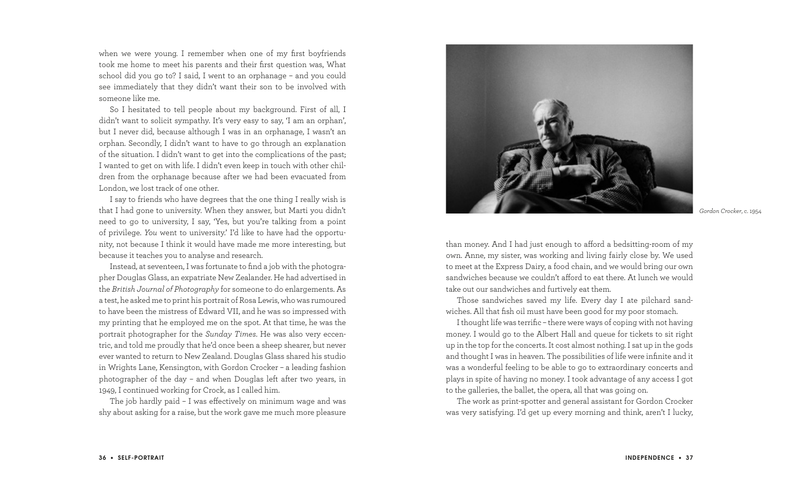when we were young. I remember when one of my first boyfriends took me home to meet his parents and their first question was, What school did you go to? I said, I went to an orphanage – and you could see immediately that they didn't want their son to be involved with someone like me.

So I hesitated to tell people about my background. First of all, I didn't want to solicit sympathy. It's very easy to say, 'I am an orphan', but I never did, because although I was in an orphanage, I wasn't an orphan. Secondly, I didn't want to have to go through an explanation of the situation. I didn't want to get into the complications of the past; I wanted to get on with life. I didn't even keep in touch with other children from the orphanage because after we had been evacuated from London, we lost track of one other.

I say to friends who have degrees that the one thing I really wish is that I had gone to university. When they answer, but Marti you didn't need to go to university, I say, 'Yes, but you're talking from a point of privilege. *You* went to university.' I'd like to have had the opportunity, not because I think it would have made me more interesting, but because it teaches you to analyse and research.

Instead, at seventeen, I was fortunate to find a job with the photographer Douglas Glass, an expatriate New Zealander. He had advertised in the *British Journal of Photography* for someone to do enlargements. As a test, he asked me to print his portrait of Rosa Lewis, who was rumoured to have been the mistress of Edward VII, and he was so impressed with my printing that he employed me on the spot. At that time, he was the portrait photographer for the *Sunday Times*. He was also very eccentric, and told me proudly that he'd once been a sheep shearer, but never ever wanted to return to New Zealand. Douglas Glass shared his studio in Wrights Lane, Kensington, with Gordon Crocker – a leading fashion photographer of the day – and when Douglas left after two years, in 1949, I continued working for Crock, as I called him.

The job hardly paid – I was effectively on minimum wage and was shy about asking for a raise, but the work gave me much more pleasure



*Gordon Crocker*, c. 1954

than money. And I had just enough to afford a bedsitting-room of my own. Anne, my sister, was working and living fairly close by. We used to meet at the Express Dairy, a food chain, and we would bring our own sandwiches because we couldn't afford to eat there. At lunch we would take out our sandwiches and furtively eat them.

Those sandwiches saved my life. Every day I ate pilchard sandwiches. All that fish oil must have been good for my poor stomach.

I thought life was terrific – there were ways of coping with not having money. I would go to the Albert Hall and queue for tickets to sit right up in the top for the concerts. It cost almost nothing. I sat up in the gods and thought I was in heaven. The possibilities of life were infinite and it was a wonderful feeling to be able to go to extraordinary concerts and plays in spite of having no money. I took advantage of any access I got to the galleries, the ballet, the opera, all that was going on.

The work as print-spotter and general assistant for Gordon Crocker was very satisfying. I'd get up every morning and think, aren't I lucky,